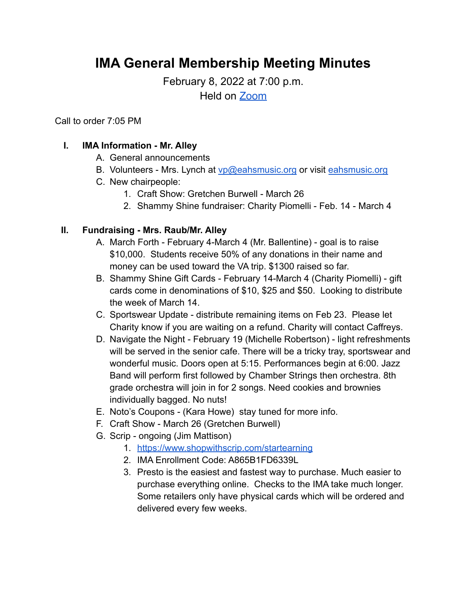# **IMA General Membership Meeting Minutes**

February 8, 2022 at 7:00 p.m.

Held on [Zoom](https://lafayette.zoom.us/j/91968176081?pwd=Uk1SSWx0SThtckVWNENTSytWWnp2dz09)

Call to order 7:05 PM

## **I. IMA Information - Mr. Alley**

- A. General announcements
- B. Volunteers Mrs. Lynch at [vp@eahsmusic.org](mailto:vp@eahsmusic.org) or visit [eahsmusic.org](https://eahsmusic.org)
- C. New chairpeople:
	- 1. Craft Show: Gretchen Burwell March 26
	- 2. Shammy Shine fundraiser: Charity Piomelli Feb. 14 March 4

## **II. Fundraising - Mrs. Raub/Mr. Alley**

- A. March Forth February 4-March 4 (Mr. Ballentine) goal is to raise \$10,000. Students receive 50% of any donations in their name and money can be used toward the VA trip. \$1300 raised so far.
- B. Shammy Shine Gift Cards February 14-March 4 (Charity Piomelli) gift cards come in denominations of \$10, \$25 and \$50. Looking to distribute the week of March 14.
- C. Sportswear Update distribute remaining items on Feb 23. Please let Charity know if you are waiting on a refund. Charity will contact Caffreys.
- D. Navigate the Night February 19 (Michelle Robertson) light refreshments will be served in the senior cafe. There will be a tricky tray, sportswear and wonderful music. Doors open at 5:15. Performances begin at 6:00. Jazz Band will perform first followed by Chamber Strings then orchestra. 8th grade orchestra will join in for 2 songs. Need cookies and brownies individually bagged. No nuts!
- E. Noto's Coupons (Kara Howe) stay tuned for more info.
- F. Craft Show March 26 (Gretchen Burwell)
- G. Scrip ongoing (Jim Mattison)
	- 1. <https://www.shopwithscrip.com/startearning>
	- 2. IMA Enrollment Code: A865B1FD6339L
	- 3. Presto is the easiest and fastest way to purchase. Much easier to purchase everything online. Checks to the IMA take much longer. Some retailers only have physical cards which will be ordered and delivered every few weeks.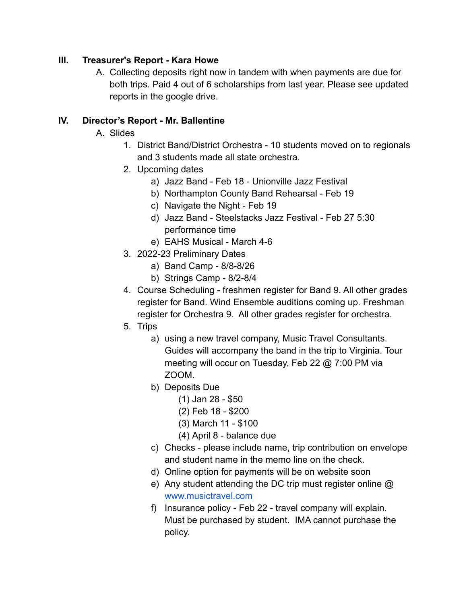#### **III. Treasurer's Report - Kara Howe**

A. Collecting deposits right now in tandem with when payments are due for both trips. Paid 4 out of 6 scholarships from last year. Please see updated reports in the google drive.

#### **IV. Director's Report - Mr. Ballentine**

- A. Slides
	- 1. District Band/District Orchestra 10 students moved on to regionals and 3 students made all state orchestra.
	- 2. Upcoming dates
		- a) Jazz Band Feb 18 Unionville Jazz Festival
		- b) Northampton County Band Rehearsal Feb 19
		- c) Navigate the Night Feb 19
		- d) Jazz Band Steelstacks Jazz Festival Feb 27 5:30 performance time
		- e) EAHS Musical March 4-6
	- 3. 2022-23 Preliminary Dates
		- a) Band Camp 8/8-8/26
		- b) Strings Camp 8/2-8/4
	- 4. Course Scheduling freshmen register for Band 9. All other grades register for Band. Wind Ensemble auditions coming up. Freshman register for Orchestra 9. All other grades register for orchestra.
	- 5. Trips
		- a) using a new travel company, Music Travel Consultants. Guides will accompany the band in the trip to Virginia. Tour meeting will occur on Tuesday, Feb 22 @ 7:00 PM via ZOOM.
		- b) Deposits Due
			- (1) Jan 28 \$50
			- (2) Feb 18 \$200
			- (3) March 11 \$100
			- (4) April 8 balance due
		- c) Checks please include name, trip contribution on envelope and student name in the memo line on the check.
		- d) Online option for payments will be on website soon
		- e) Any student attending the DC trip must register online @ [www.musictravel.com](http://www.musictravel.com)
		- f) Insurance policy Feb 22 travel company will explain. Must be purchased by student. IMA cannot purchase the policy.